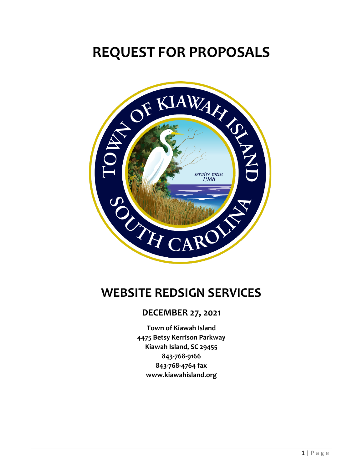# **REQUEST FOR PROPOSALS**



# **WEBSITE REDSIGN SERVICES**

#### **DECEMBER 27, 2021**

**Town of Kiawah Island 4475 Betsy Kerrison Parkway Kiawah Island, SC 29455 843-768-9166 843-768-4764 fax www.kiawahisland.org**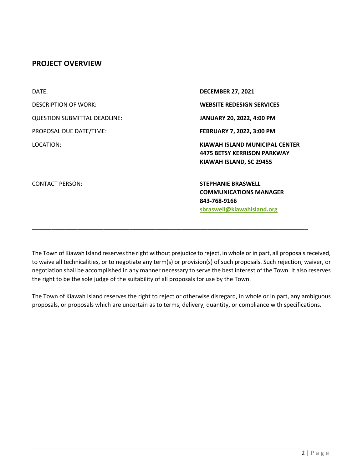#### **PROJECT OVERVIEW**

| DATE:                               | <b>DECEMBER 27, 2021</b>                                                                                 |
|-------------------------------------|----------------------------------------------------------------------------------------------------------|
| <b>DESCRIPTION OF WORK:</b>         | <b>WEBSITE REDESIGN SERVICES</b>                                                                         |
| <b>QUESTION SUBMITTAL DEADLINE:</b> | JANUARY 20, 2022, 4:00 PM                                                                                |
| PROPOSAL DUE DATE/TIME:             | FEBRUARY 7, 2022, 3:00 PM                                                                                |
| LOCATION:                           | KIAWAH ISLAND MUNICIPAL CENTER<br><b>4475 BETSY KERRISON PARKWAY</b><br>KIAWAH ISLAND, SC 29455          |
| <b>CONTACT PERSON:</b>              | <b>STEPHANIE BRASWELL</b><br><b>COMMUNICATIONS MANAGER</b><br>843-768-9166<br>sbraswell@kiawahisland.org |

\_\_\_\_\_\_\_\_\_\_\_\_\_\_\_\_\_\_\_\_\_\_\_\_\_\_\_\_\_\_\_\_\_\_\_\_\_\_\_\_\_\_\_\_\_\_\_\_\_\_\_\_\_\_\_\_\_\_\_\_\_\_\_\_\_\_\_\_\_\_\_\_\_\_\_\_\_\_\_\_\_\_\_\_\_

The Town of Kiawah Island reserves the right without prejudice to reject, in whole or in part, all proposals received, to waive all technicalities, or to negotiate any term(s) or provision(s) of such proposals. Such rejection, waiver, or negotiation shall be accomplished in any manner necessary to serve the best interest of the Town. It also reserves the right to be the sole judge of the suitability of all proposals for use by the Town.

The Town of Kiawah Island reserves the right to reject or otherwise disregard, in whole or in part, any ambiguous proposals, or proposals which are uncertain as to terms, delivery, quantity, or compliance with specifications.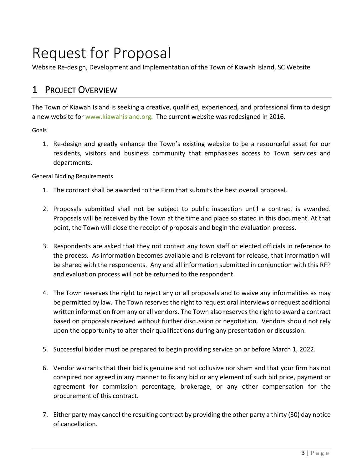# Request for Proposal

Website Re-design, Development and Implementation of the Town of Kiawah Island, SC Website

# 1 PROJECT OVERVIEW

The Town of Kiawah Island is seeking a creative, qualified, experienced, and professional firm to design a new website for www.kiawahisland.org. The current website was redesigned in 2016.

Goals

1. Re-design and greatly enhance the Town's existing website to be a resourceful asset for our residents, visitors and business community that emphasizes access to Town services and departments.

General Bidding Requirements

- 1. The contract shall be awarded to the Firm that submits the best overall proposal.
- 2. Proposals submitted shall not be subject to public inspection until a contract is awarded. Proposals will be received by the Town at the time and place so stated in this document. At that point, the Town will close the receipt of proposals and begin the evaluation process.
- 3. Respondents are asked that they not contact any town staff or elected officials in reference to the process. As information becomes available and is relevant for release, that information will be shared with the respondents. Any and all information submitted in conjunction with this RFP and evaluation process will not be returned to the respondent.
- 4. The Town reserves the right to reject any or all proposals and to waive any informalities as may be permitted by law. The Town reserves the right to request oral interviews or request additional written information from any or all vendors. The Town also reserves the right to award a contract based on proposals received without further discussion or negotiation. Vendors should not rely upon the opportunity to alter their qualifications during any presentation or discussion.
- 5. Successful bidder must be prepared to begin providing service on or before March 1, 2022.
- 6. Vendor warrants that their bid is genuine and not collusive nor sham and that your firm has not conspired nor agreed in any manner to fix any bid or any element of such bid price, payment or agreement for commission percentage, brokerage, or any other compensation for the procurement of this contract.
- 7. Either party may cancel the resulting contract by providing the other party a thirty (30) day notice of cancellation.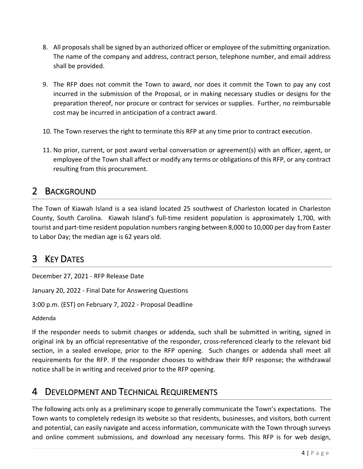- 8. All proposals shall be signed by an authorized officer or employee of the submitting organization. The name of the company and address, contract person, telephone number, and email address shall be provided.
- 9. The RFP does not commit the Town to award, nor does it commit the Town to pay any cost incurred in the submission of the Proposal, or in making necessary studies or designs for the preparation thereof, nor procure or contract for services or supplies. Further, no reimbursable cost may be incurred in anticipation of a contract award.
- 10. The Town reserves the right to terminate this RFP at any time prior to contract execution.
- 11. No prior, current, or post award verbal conversation or agreement(s) with an officer, agent, or employee of the Town shall affect or modify any terms or obligations of this RFP, or any contract resulting from this procurement.

#### 2 BACKGROUND

The Town of Kiawah Island is a sea island located 25 southwest of Charleston located in Charleston County, South Carolina. Kiawah Island's full-time resident population is approximately 1,700, with tourist and part-time resident population numbers ranging between 8,000 to 10,000 per day from Easter to Labor Day; the median age is 62 years old.

### 3 KEY DATES

December 27, 2021 - RFP Release Date

January 20, 2022 - Final Date for Answering Questions

3:00 p.m. (EST) on February 7, 2022 - Proposal Deadline

Addenda

If the responder needs to submit changes or addenda, such shall be submitted in writing, signed in original ink by an official representative of the responder, cross-referenced clearly to the relevant bid section, in a sealed envelope, prior to the RFP opening. Such changes or addenda shall meet all requirements for the RFP. If the responder chooses to withdraw their RFP response; the withdrawal notice shall be in writing and received prior to the RFP opening.

#### 4 DEVELOPMENT AND TECHNICAL REQUIREMENTS

The following acts only as a preliminary scope to generally communicate the Town's expectations. The Town wants to completely redesign its website so that residents, businesses, and visitors, both current and potential, can easily navigate and access information, communicate with the Town through surveys and online comment submissions, and download any necessary forms. This RFP is for web design,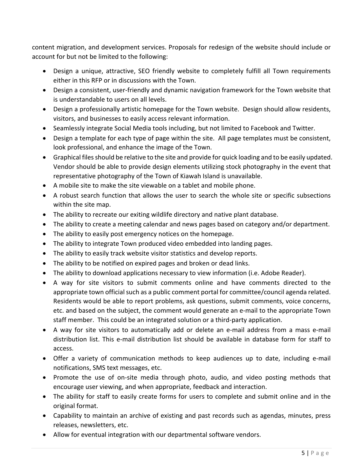content migration, and development services. Proposals for redesign of the website should include or account for but not be limited to the following:

- Design a unique, attractive, SEO friendly website to completely fulfill all Town requirements either in this RFP or in discussions with the Town.
- Design a consistent, user-friendly and dynamic navigation framework for the Town website that is understandable to users on all levels.
- Design a professionally artistic homepage for the Town website. Design should allow residents, visitors, and businesses to easily access relevant information.
- Seamlessly integrate Social Media tools including, but not limited to Facebook and Twitter.
- Design a template for each type of page within the site. All page templates must be consistent, look professional, and enhance the image of the Town.
- Graphical files should be relative to the site and provide for quick loading and to be easily updated. Vendor should be able to provide design elements utilizing stock photography in the event that representative photography of the Town of Kiawah Island is unavailable.
- A mobile site to make the site viewable on a tablet and mobile phone.
- A robust search function that allows the user to search the whole site or specific subsections within the site map.
- The ability to recreate our exiting wildlife directory and native plant database.
- The ability to create a meeting calendar and news pages based on category and/or department.
- The ability to easily post emergency notices on the homepage.
- The ability to integrate Town produced video embedded into landing pages.
- The ability to easily track website visitor statistics and develop reports.
- The ability to be notified on expired pages and broken or dead links.
- The ability to download applications necessary to view information (i.e. Adobe Reader).
- A way for site visitors to submit comments online and have comments directed to the appropriate town official such as a public comment portal for committee/council agenda related. Residents would be able to report problems, ask questions, submit comments, voice concerns, etc. and based on the subject, the comment would generate an e-mail to the appropriate Town staff member. This could be an integrated solution or a third-party application.
- A way for site visitors to automatically add or delete an e-mail address from a mass e-mail distribution list. This e-mail distribution list should be available in database form for staff to access.
- Offer a variety of communication methods to keep audiences up to date, including e-mail notifications, SMS text messages, etc.
- Promote the use of on-site media through photo, audio, and video posting methods that encourage user viewing, and when appropriate, feedback and interaction.
- The ability for staff to easily create forms for users to complete and submit online and in the original format.
- Capability to maintain an archive of existing and past records such as agendas, minutes, press releases, newsletters, etc.
- Allow for eventual integration with our departmental software vendors.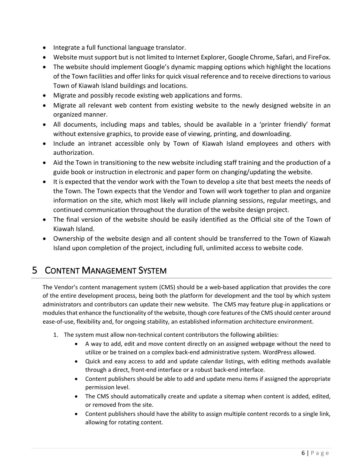- Integrate a full functional language translator.
- Website must support but is not limited to Internet Explorer, Google Chrome, Safari, and FireFox.
- The website should implement Google's dynamic mapping options which highlight the locations of the Town facilities and offer links for quick visual reference and to receive directions to various Town of Kiawah Island buildings and locations.
- Migrate and possibly recode existing web applications and forms.
- Migrate all relevant web content from existing website to the newly designed website in an organized manner.
- All documents, including maps and tables, should be available in a 'printer friendly' format without extensive graphics, to provide ease of viewing, printing, and downloading.
- Include an intranet accessible only by Town of Kiawah Island employees and others with authorization.
- Aid the Town in transitioning to the new website including staff training and the production of a guide book or instruction in electronic and paper form on changing/updating the website.
- It is expected that the vendor work with the Town to develop a site that best meets the needs of the Town. The Town expects that the Vendor and Town will work together to plan and organize information on the site, which most likely will include planning sessions, regular meetings, and continued communication throughout the duration of the website design project.
- The final version of the website should be easily identified as the Official site of the Town of Kiawah Island.
- Ownership of the website design and all content should be transferred to the Town of Kiawah Island upon completion of the project, including full, unlimited access to website code.

# 5 CONTENT MANAGEMENT SYSTEM

The Vendor's content management system (CMS) should be a web-based application that provides the core of the entire development process, being both the platform for development and the tool by which system administrators and contributors can update their new website. The CMS may feature plug-in applications or modules that enhance the functionality of the website, though core features of the CMS should center around ease-of-use, flexibility and, for ongoing stability, an established information architecture environment.

- 1. The system must allow non-technical content contributors the following abilities:
	- A way to add, edit and move content directly on an assigned webpage without the need to utilize or be trained on a complex back-end administrative system. WordPress allowed.
	- Quick and easy access to add and update calendar listings, with editing methods available through a direct, front-end interface or a robust back-end interface.
	- Content publishers should be able to add and update menu items if assigned the appropriate permission level.
	- The CMS should automatically create and update a sitemap when content is added, edited, or removed from the site.
	- Content publishers should have the ability to assign multiple content records to a single link, allowing for rotating content.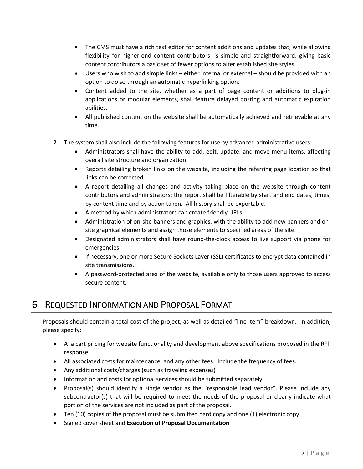- The CMS must have a rich text editor for content additions and updates that, while allowing flexibility for higher-end content contributors, is simple and straightforward, giving basic content contributors a basic set of fewer options to alter established site styles.
- Users who wish to add simple links either internal or external should be provided with an option to do so through an automatic hyperlinking option.
- Content added to the site, whether as a part of page content or additions to plug-in applications or modular elements, shall feature delayed posting and automatic expiration abilities.
- All published content on the website shall be automatically achieved and retrievable at any time.
- 2. The system shall also include the following features for use by advanced administrative users:
	- Administrators shall have the ability to add, edit, update, and move menu items, affecting overall site structure and organization.
	- Reports detailing broken links on the website, including the referring page location so that links can be corrected.
	- A report detailing all changes and activity taking place on the website through content contributors and administrators; the report shall be filterable by start and end dates, times, by content time and by action taken. All history shall be exportable.
	- A method by which administrators can create friendly URLs.
	- Administration of on-site banners and graphics, with the ability to add new banners and onsite graphical elements and assign those elements to specified areas of the site.
	- Designated administrators shall have round-the-clock access to live support via phone for emergencies.
	- If necessary, one or more Secure Sockets Layer (SSL) certificates to encrypt data contained in site transmissions.
	- A password-protected area of the website, available only to those users approved to access secure content.

### 6 REQUESTED INFORMATION AND PROPOSAL FORMAT

Proposals should contain a total cost of the project, as well as detailed "line item" breakdown. In addition, please specify:

- A la cart pricing for website functionality and development above specifications proposed in the RFP response.
- All associated costs for maintenance, and any other fees. Include the frequency of fees.
- Any additional costs/charges (such as traveling expenses)
- Information and costs for optional services should be submitted separately.
- Proposal(s) should identify a single vendor as the "responsible lead vendor". Please include any subcontractor(s) that will be required to meet the needs of the proposal or clearly indicate what portion of the services are not included as part of the proposal.
- Ten (10) copies of the proposal must be submitted hard copy and one (1) electronic copy.
- Signed cover sheet and **Execution of Proposal Documentation**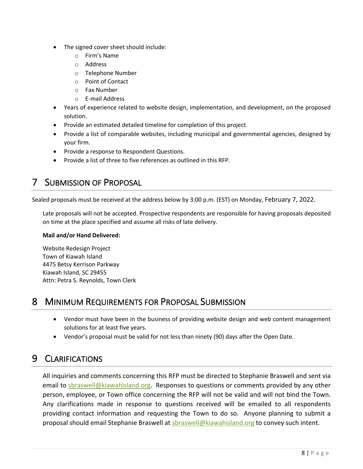- The signed cover sheet should include:
	- o Firm's Name
	- o Address
	- o Telephone Number
	- o Point of Contact
	- o Fax Number
	- o E-mail Address
- Years of experience related to website design, implementation, and development, on the proposed solution.
- Provide an estimated detailed timeline for completion of this project.
- Provide a list of comparable websites, including municipal and governmental agencies, designed by your firm.
- Provide a response to Respondent Questions.
- Provide a list of three to five references as outlined in this RFP.

# 7 SUBMISSION OF PROPOSAL

Sealed proposals must be received at the address below by 3:00 p.m. (EST) on Monday, February 7, 2022.

Late proposals will not be accepted. Prospective respondents are responsible for having proposals deposited on time at the place specified and assume all risks of late delivery.

#### **Mail and/or Hand Delivered:**

Website Redesign Project Town of Kiawah Island 4475 Betsy Kerrison Parkway Kiawah Island, SC 29455 Attn: Petra S. Reynolds, Town Clerk

#### 8 MINIMUM REQUIREMENTS FOR PROPOSAL SUBMISSION

- Vendor must have been in the business of providing website design and web content management solutions for at least five years.
- Vendor's proposal must be valid for not less than ninety (90) days after the Open Date.

# 9 CLARIFICATIONS

All inquiries and comments concerning this RFP must be directed to Stephanie Braswell and sent via email to sbraswell@kiawahisland.org. Responses to questions or comments provided by any other person, employee, or Town office concerning the RFP will not be valid and will not bind the Town. Any clarifications made in response to questions received will be emailed to all respondents providing contact information and requesting the Town to do so. Anyone planning to submit a proposal should email Stephanie Braswell at sbraswell@kiawahisland.org to convey such intent.